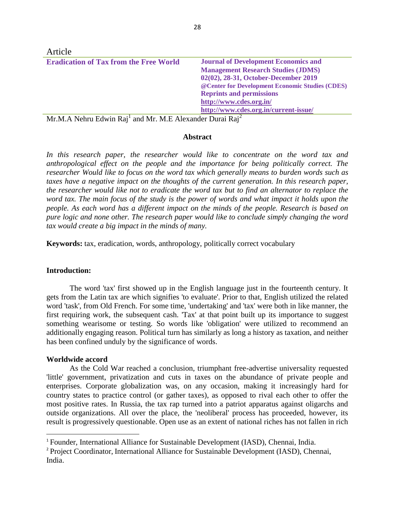| Article                                       |                                                  |
|-----------------------------------------------|--------------------------------------------------|
| <b>Eradication of Tax from the Free World</b> | <b>Journal of Development Economics and</b>      |
|                                               | <b>Management Research Studies (JDMS)</b>        |
|                                               | 02(02), 28-31, October-December 2019             |
|                                               | @ Center for Development Economic Studies (CDES) |
|                                               | <b>Reprints and permissions</b>                  |
|                                               | http://www.cdes.org.in/                          |
|                                               | http://www.cdes.org.in/current-issue/            |
|                                               |                                                  |

 $Mr.M.A$  Nehru Edwin Raj<sup>1</sup> and Mr. M.E Alexander Durai Raj<sup>2</sup>

# **Abstract**

In this research paper, the researcher would like to concentrate on the word tax and *anthropological effect on the people and the importance for being politically correct. The researcher Would like to focus on the word tax which generally means to burden words such as taxes have a negative impact on the thoughts of the current generation. In this research paper, the researcher would like not to eradicate the word tax but to find an alternator to replace the word tax. The main focus of the study is the power of words and what impact it holds upon the people. As each word has a different impact on the minds of the people. Research is based on pure logic and none other. The research paper would like to conclude simply changing the word tax would create a big impact in the minds of many.*

**Keywords:** tax, eradication, words, anthropology, politically correct vocabulary

### **Introduction:**

The word 'tax' first showed up in the English language just in the fourteenth century. It gets from the Latin tax are which signifies 'to evaluate'. Prior to that, English utilized the related word 'task', from Old French. For some time, 'undertaking' and 'tax' were both in like manner, the first requiring work, the subsequent cash. 'Tax' at that point built up its importance to suggest something wearisome or testing. So words like 'obligation' were utilized to recommend an additionally engaging reason. Political turn has similarly as long a history as taxation, and neither has been confined unduly by the significance of words.

# **Worldwide accord**

 $\overline{\phantom{a}}$ 

As the Cold War reached a conclusion, triumphant free-advertise universality requested 'little' government, privatization and cuts in taxes on the abundance of private people and enterprises. Corporate globalization was, on any occasion, making it increasingly hard for country states to practice control (or gather taxes), as opposed to rival each other to offer the most positive rates. In Russia, the tax rap turned into a patriot apparatus against oligarchs and outside organizations. All over the place, the 'neoliberal' process has proceeded, however, its result is progressively questionable. Open use as an extent of national riches has not fallen in rich

<sup>&</sup>lt;sup>1</sup> Founder, International Alliance for Sustainable Development (IASD), Chennai, India.

<sup>&</sup>lt;sup>2</sup> Project Coordinator, International Alliance for Sustainable Development (IASD), Chennai, India.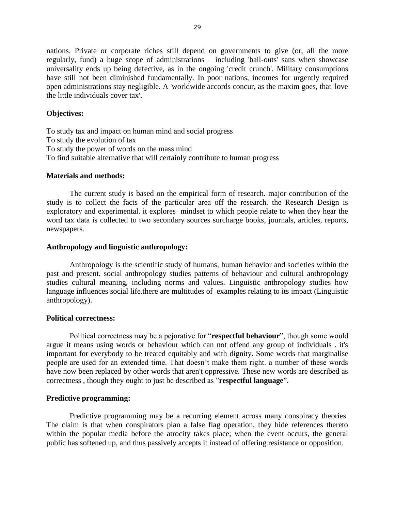nations. Private or corporate riches still depend on governments to give (or, all the more regularly, fund) a huge scope of administrations – including 'bail-outs' sans when showcase universality ends up being defective, as in the ongoing 'credit crunch'. Military consumptions have still not been diminished fundamentally. In poor nations, incomes for urgently required open administrations stay negligible. A 'worldwide accords concur, as the maxim goes, that 'love the little individuals cover tax'.

### **Objectives:**

To study tax and impact on human mind and social progress To study the evolution of tax To study the power of words on the mass mind To find suitable alternative that will certainly contribute to human progress

### **Materials and methods:**

The current study is based on the empirical form of research. major contribution of the study is to collect the facts of the particular area off the research. the Research Design is exploratory and experimental. it explores mindset to which people relate to when they hear the word tax data is collected to two secondary sources surcharge books, journals, articles, reports, newspapers.

### **Anthropology and linguistic anthropology:**

Anthropology is the scientific study of humans, human behavior and societies within the past and present. social anthropology studies patterns of behaviour and cultural anthropology studies cultural meaning, including norms and values. Linguistic anthropology studies how language influences social life.there are multitudes of examples relating to its impact (Linguistic anthropology).

### **Political correctness:**

Political correctness may be a pejorative for "**respectful behaviour**", though some would argue it means using words or behaviour which can not offend any group of individuals . it's important for everybody to be treated equitably and with dignity. Some words that marginalise people are used for an extended time. That doesn't make them right. a number of these words have now been replaced by other words that aren't oppressive. These new words are described as correctness , though they ought to just be described as "**respectful language**"**.**

### **Predictive programming:**

Predictive programming may be a recurring element across many conspiracy theories. The claim is that when conspirators plan a false flag operation, they hide references thereto within the popular media before the atrocity takes place; when the event occurs, the general public has softened up, and thus passively accepts it instead of offering resistance or opposition.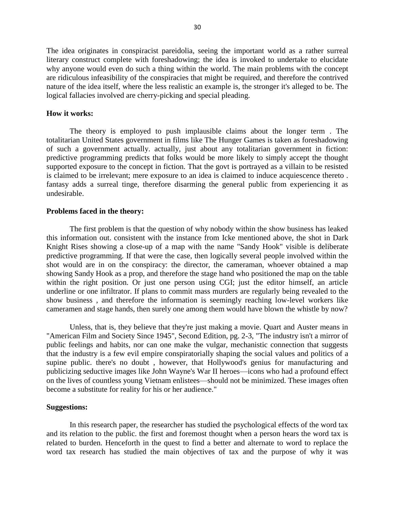The idea originates in conspiracist pareidolia, seeing the important world as a rather surreal literary construct complete with foreshadowing; the idea is invoked to undertake to elucidate why anyone would even do such a thing within the world. The main problems with the concept are ridiculous infeasibility of the conspiracies that might be required, and therefore the contrived nature of the idea itself, where the less realistic an example is, the stronger it's alleged to be. The logical fallacies involved are cherry-picking and special pleading.

#### **How it works:**

The theory is employed to push implausible claims about the longer term . The totalitarian United States government in films like The Hunger Games is taken as foreshadowing of such a government actually. actually, just about any totalitarian government in fiction: predictive programming predicts that folks would be more likely to simply accept the thought supported exposure to the concept in fiction. That the govt is portrayed as a villain to be resisted is claimed to be irrelevant; mere exposure to an idea is claimed to induce acquiescence thereto . fantasy adds a surreal tinge, therefore disarming the general public from experiencing it as undesirable.

#### **Problems faced in the theory:**

The first problem is that the question of why nobody within the show business has leaked this information out. consistent with the instance from Icke mentioned above, the shot in Dark Knight Rises showing a close-up of a map with the name "Sandy Hook" visible is deliberate predictive programming. If that were the case, then logically several people involved within the shot would are in on the conspiracy: the director, the cameraman, whoever obtained a map showing Sandy Hook as a prop, and therefore the stage hand who positioned the map on the table within the right position. Or just one person using CGI; just the editor himself, an article underline or one infiltrator. If plans to commit mass murders are regularly being revealed to the show business , and therefore the information is seemingly reaching low-level workers like cameramen and stage hands, then surely one among them would have blown the whistle by now?

Unless, that is, they believe that they're just making a movie. Quart and Auster means in "American Film and Society Since 1945", Second Edition, pg. 2-3, "The industry isn't a mirror of public feelings and habits, nor can one make the vulgar, mechanistic connection that suggests that the industry is a few evil empire conspiratorially shaping the social values and politics of a supine public. there's no doubt , however, that Hollywood's genius for manufacturing and publicizing seductive images like John Wayne's War II heroes—icons who had a profound effect on the lives of countless young Vietnam enlistees—should not be minimized. These images often become a substitute for reality for his or her audience."

#### **Suggestions:**

In this research paper, the researcher has studied the psychological effects of the word tax and its relation to the public. the first and foremost thought when a person hears the word tax is related to burden. Henceforth in the quest to find a better and alternate to word to replace the word tax research has studied the main objectives of tax and the purpose of why it was